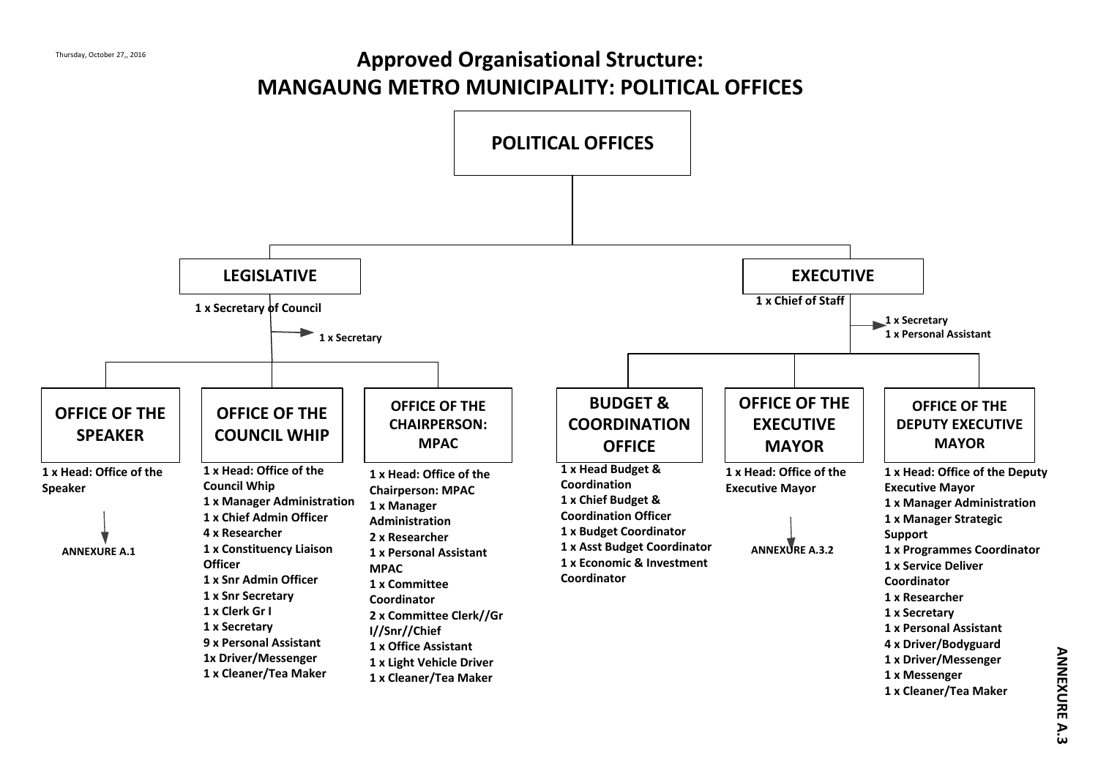# **Approved Organisational Structure: MANGAUNG METRO MUNICIPALITY: POLITICAL OFFICES**



**NEX U RE A.3**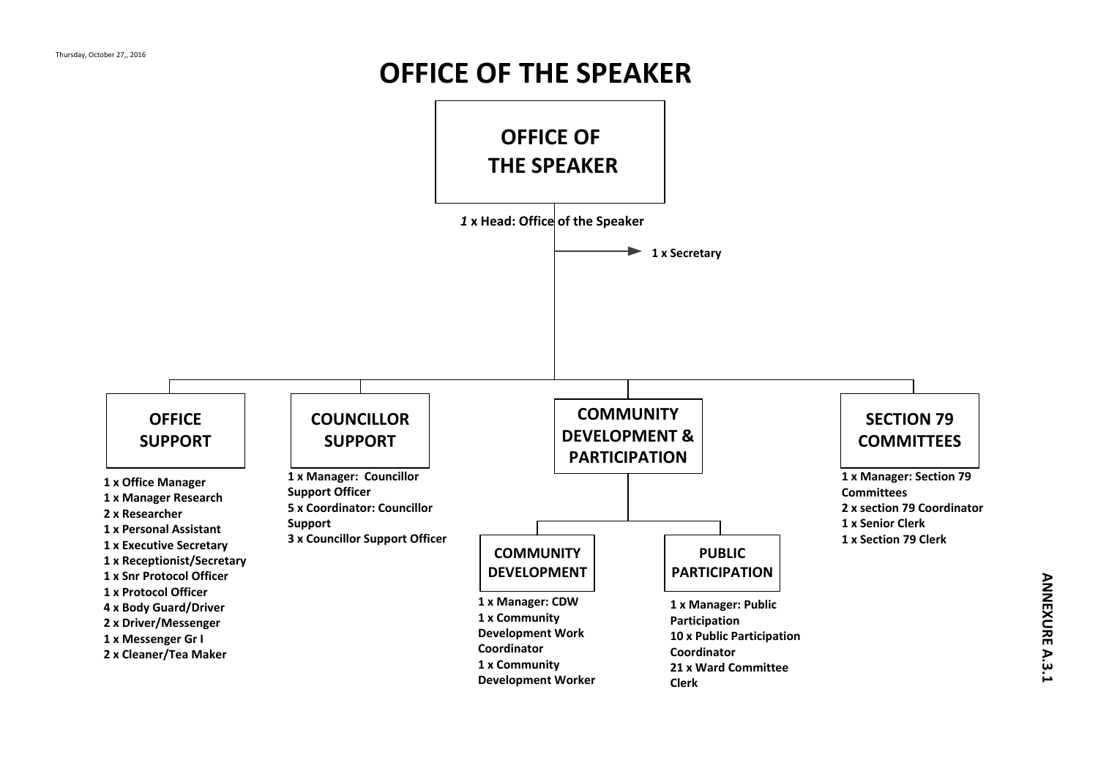# **OFFICE OF THE SPEAKER**

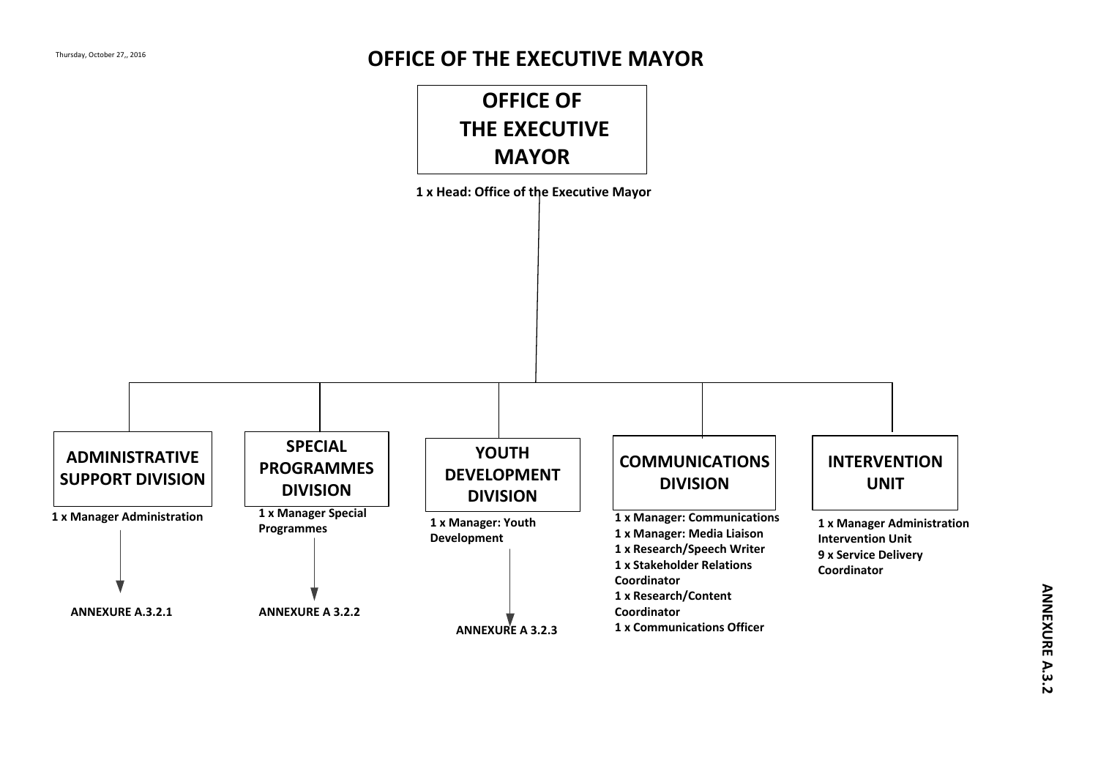#### **OFFICE OF THE EXECUTIVE MAYOR**

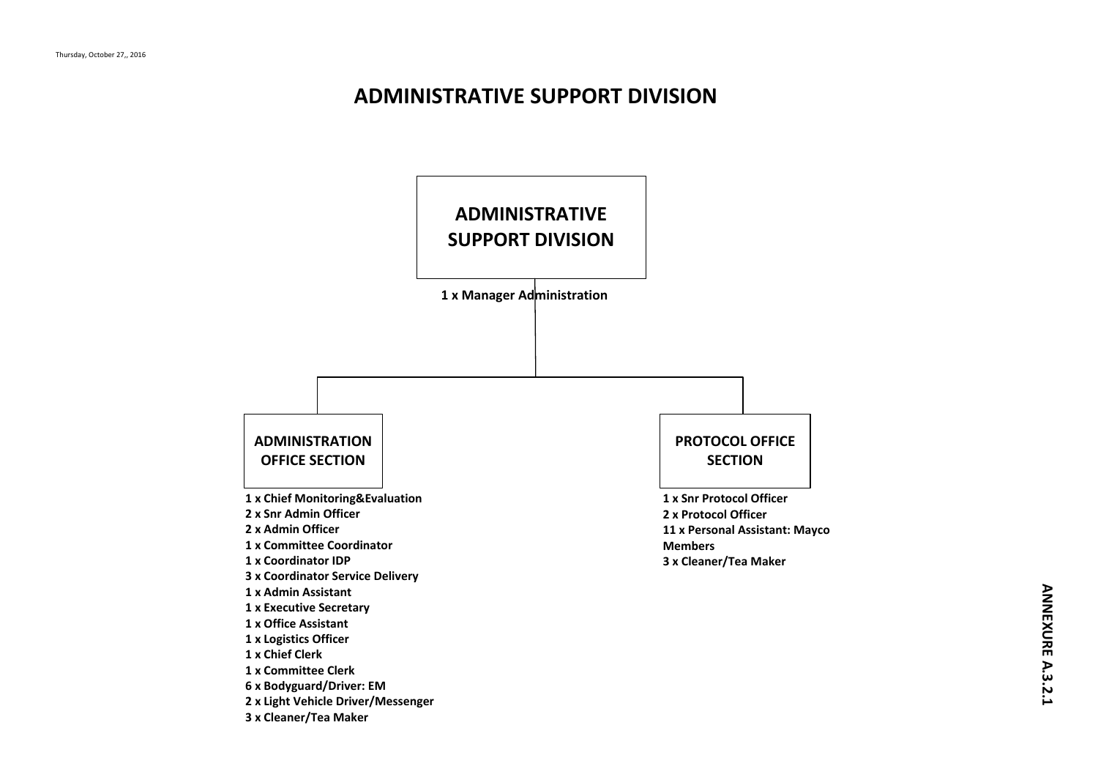#### **ADMINISTRATIVE SUPPORT DIVISION**

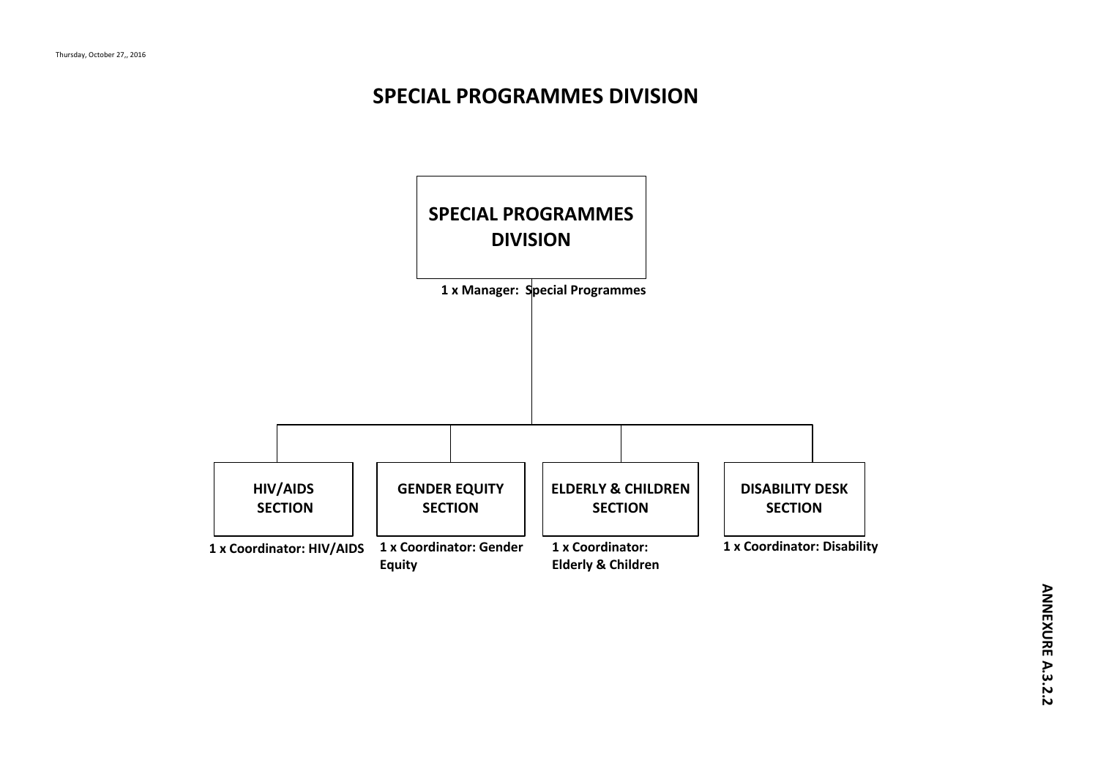### **SPECIAL PROGRAMMES DIVISION**